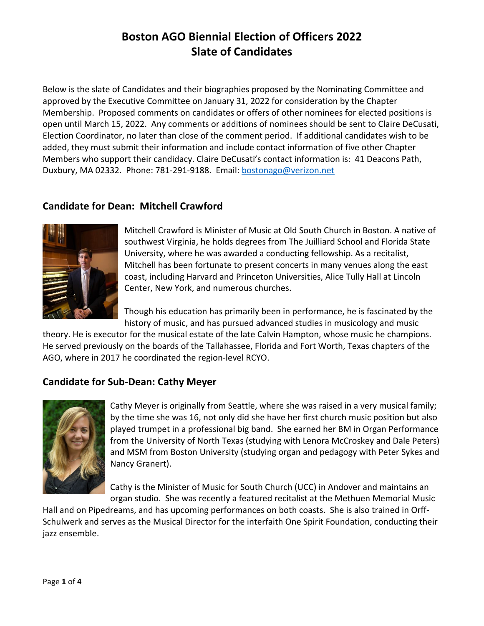Below is the slate of Candidates and their biographies proposed by the Nominating Committee and approved by the Executive Committee on January 31, 2022 for consideration by the Chapter Membership. Proposed comments on candidates or offers of other nominees for elected positions is open until March 15, 2022. Any comments or additions of nominees should be sent to Claire DeCusati, Election Coordinator, no later than close of the comment period. If additional candidates wish to be added, they must submit their information and include contact information of five other Chapter Members who support their candidacy. Claire DeCusati's contact information is: 41 Deacons Path, Duxbury, MA 02332. Phone: 781-291-9188. Email: [bostonago@verizon.net](mailto:bostonago@verizon.net)

## **Candidate for Dean: Mitchell Crawford**



Mitchell Crawford is Minister of Music at Old South Church in Boston. A native of southwest Virginia, he holds degrees from The Juilliard School and Florida State University, where he was awarded a conducting fellowship. As a recitalist, Mitchell has been fortunate to present concerts in many venues along the east coast, including Harvard and Princeton Universities, Alice Tully Hall at Lincoln Center, New York, and numerous churches.

Though his education has primarily been in performance, he is fascinated by the history of music, and has pursued advanced studies in musicology and music

theory. He is executor for the musical estate of the late Calvin Hampton, whose music he champions. He served previously on the boards of the Tallahassee, Florida and Fort Worth, Texas chapters of the AGO, where in 2017 he coordinated the region-level RCYO.

## **Candidate for Sub-Dean: Cathy Meyer**



Cathy Meyer is originally from Seattle, where she was raised in a very musical family; by the time she was 16, not only did she have her first church music position but also played trumpet in a professional big band. She earned her BM in Organ Performance from the University of North Texas (studying with Lenora McCroskey and Dale Peters) and MSM from Boston University (studying organ and pedagogy with Peter Sykes and Nancy Granert).

Cathy is the Minister of Music for South Church (UCC) in Andover and maintains an organ studio. She was recently a featured recitalist at the Methuen Memorial Music

Hall and on Pipedreams, and has upcoming performances on both coasts. She is also trained in Orff-Schulwerk and serves as the Musical Director for the interfaith One Spirit Foundation, conducting their jazz ensemble.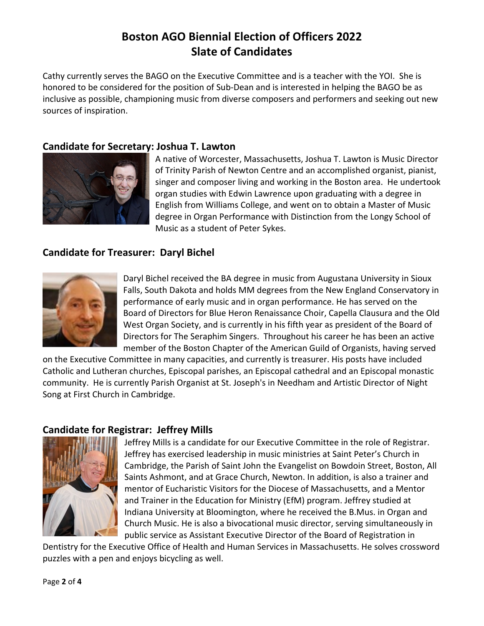Cathy currently serves the BAGO on the Executive Committee and is a teacher with the YOI. She is honored to be considered for the position of Sub-Dean and is interested in helping the BAGO be as inclusive as possible, championing music from diverse composers and performers and seeking out new sources of inspiration.

### **Candidate for Secretary: Joshua T. Lawton**



A native of Worcester, Massachusetts, Joshua T. Lawton is Music Director of Trinity Parish of Newton Centre and an accomplished organist, pianist, singer and composer living and working in the Boston area. He undertook organ studies with Edwin Lawrence upon graduating with a degree in English from Williams College, and went on to obtain a Master of Music degree in Organ Performance with Distinction from the Longy School of Music as a student of Peter Sykes.

### **Candidate for Treasurer: Daryl Bichel**



Daryl Bichel received the BA degree in music from Augustana University in Sioux Falls, South Dakota and holds MM degrees from the New England Conservatory in performance of early music and in organ performance. He has served on the Board of Directors for Blue Heron Renaissance Choir, Capella Clausura and the Old West Organ Society, and is currently in his fifth year as president of the Board of Directors for The Seraphim Singers. Throughout his career he has been an active member of the Boston Chapter of the American Guild of Organists, having served

on the Executive Committee in many capacities, and currently is treasurer. His posts have included Catholic and Lutheran churches, Episcopal parishes, an Episcopal cathedral and an Episcopal monastic community. He is currently Parish Organist at St. Joseph's in Needham and Artistic Director of Night Song at First Church in Cambridge.

## **Candidate for Registrar: Jeffrey Mills**



Jeffrey Mills is a candidate for our Executive Committee in the role of Registrar. Jeffrey has exercised leadership in music ministries at Saint Peter's Church in Cambridge, the Parish of Saint John the Evangelist on Bowdoin Street, Boston, All Saints Ashmont, and at Grace Church, Newton. In addition, is also a trainer and mentor of Eucharistic Visitors for the Diocese of Massachusetts, and a Mentor and Trainer in the Education for Ministry (EfM) program. Jeffrey studied at Indiana University at Bloomington, where he received the B.Mus. in Organ and Church Music. He is also a bivocational music director, serving simultaneously in public service as Assistant Executive Director of the Board of Registration in

Dentistry for the Executive Office of Health and Human Services in Massachusetts. He solves crossword puzzles with a pen and enjoys bicycling as well.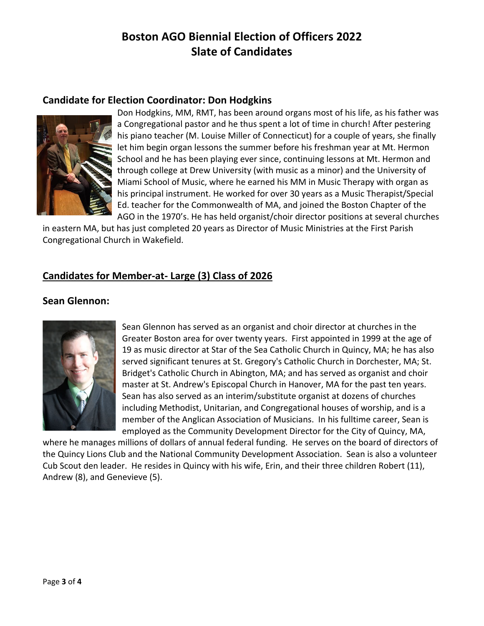#### **Candidate for Election Coordinator: Don Hodgkins**



Don Hodgkins, MM, RMT, has been around organs most of his life, as his father was a Congregational pastor and he thus spent a lot of time in church! After pestering his piano teacher (M. Louise Miller of Connecticut) for a couple of years, she finally let him begin organ lessons the summer before his freshman year at Mt. Hermon School and he has been playing ever since, continuing lessons at Mt. Hermon and through college at Drew University (with music as a minor) and the University of Miami School of Music, where he earned his MM in Music Therapy with organ as his principal instrument. He worked for over 30 years as a Music Therapist/Special Ed. teacher for the Commonwealth of MA, and joined the Boston Chapter of the AGO in the 1970's. He has held organist/choir director positions at several churches

in eastern MA, but has just completed 20 years as Director of Music Ministries at the First Parish Congregational Church in Wakefield.

### **Candidates for Member-at- Large (3) Class of 2026**

#### **Sean Glennon:**



Sean Glennon has served as an organist and choir director at churches in the Greater Boston area for over twenty years. First appointed in 1999 at the age of 19 as music director at Star of the Sea Catholic Church in Quincy, MA; he has also served significant tenures at St. Gregory's Catholic Church in Dorchester, MA; St. Bridget's Catholic Church in Abington, MA; and has served as organist and choir master at St. Andrew's Episcopal Church in Hanover, MA for the past ten years. Sean has also served as an interim/substitute organist at dozens of churches including Methodist, Unitarian, and Congregational houses of worship, and is a member of the Anglican Association of Musicians. In his fulltime career, Sean is employed as the Community Development Director for the City of Quincy, MA,

where he manages millions of dollars of annual federal funding. He serves on the board of directors of the Quincy Lions Club and the National Community Development Association. Sean is also a volunteer Cub Scout den leader. He resides in Quincy with his wife, Erin, and their three children Robert (11), Andrew (8), and Genevieve (5).